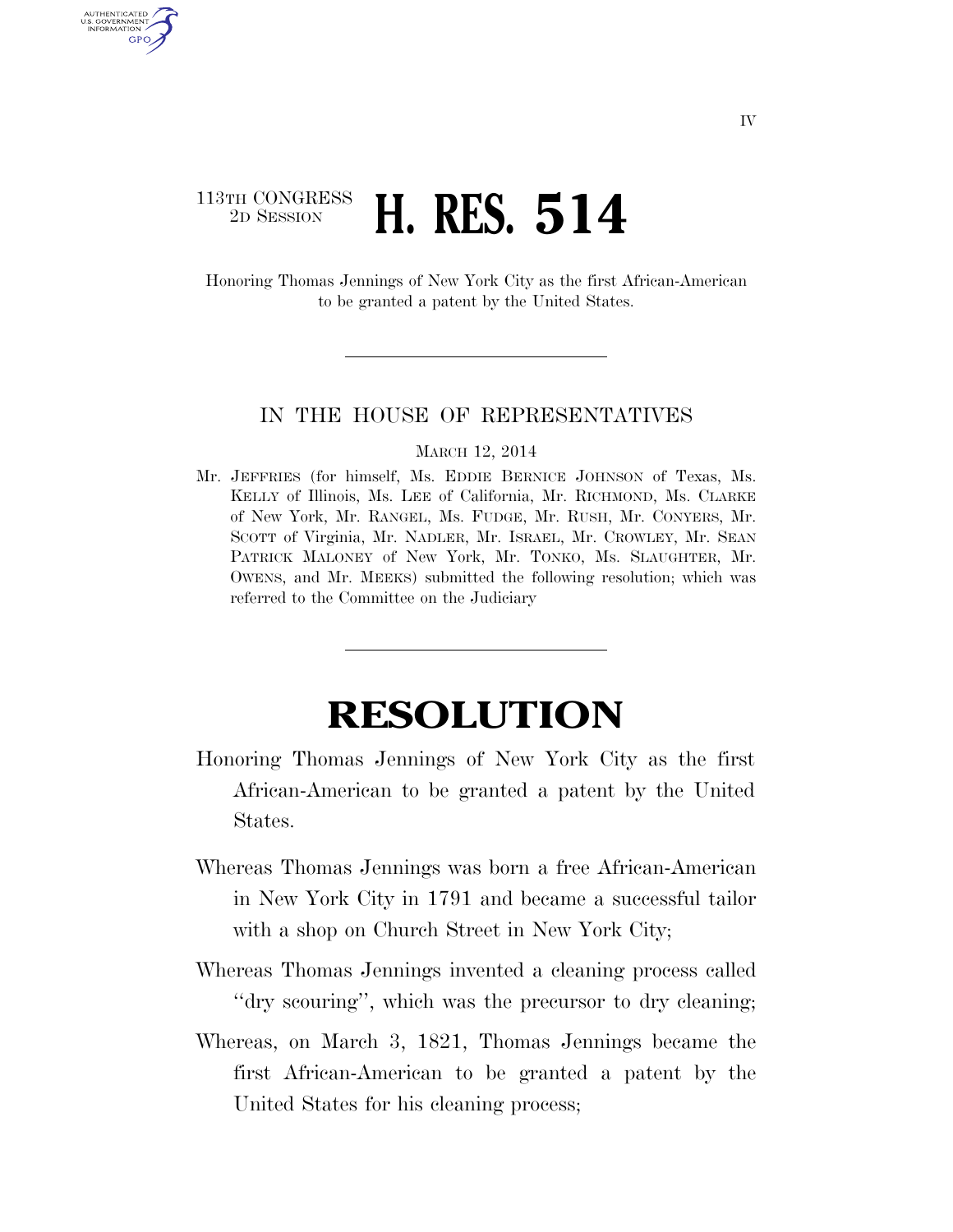## 113TH CONGRESS <sup>2D SESSION</sup> **H. RES. 514**

AUTHENTICATED U.S. GOVERNMENT GPO

> Honoring Thomas Jennings of New York City as the first African-American to be granted a patent by the United States.

## IN THE HOUSE OF REPRESENTATIVES

## MARCH 12, 2014

Mr. JEFFRIES (for himself, Ms. EDDIE BERNICE JOHNSON of Texas, Ms. KELLY of Illinois, Ms. LEE of California, Mr. RICHMOND, Ms. CLARKE of New York, Mr. RANGEL, Ms. FUDGE, Mr. RUSH, Mr. CONYERS, Mr. SCOTT of Virginia, Mr. NADLER, Mr. ISRAEL, Mr. CROWLEY, Mr. SEAN PATRICK MALONEY of New York, Mr. TONKO, Ms. SLAUGHTER, Mr. OWENS, and Mr. MEEKS) submitted the following resolution; which was referred to the Committee on the Judiciary

## **RESOLUTION**

- Honoring Thomas Jennings of New York City as the first African-American to be granted a patent by the United States.
- Whereas Thomas Jennings was born a free African-American in New York City in 1791 and became a successful tailor with a shop on Church Street in New York City;
- Whereas Thomas Jennings invented a cleaning process called ''dry scouring'', which was the precursor to dry cleaning;
- Whereas, on March 3, 1821, Thomas Jennings became the first African-American to be granted a patent by the United States for his cleaning process;